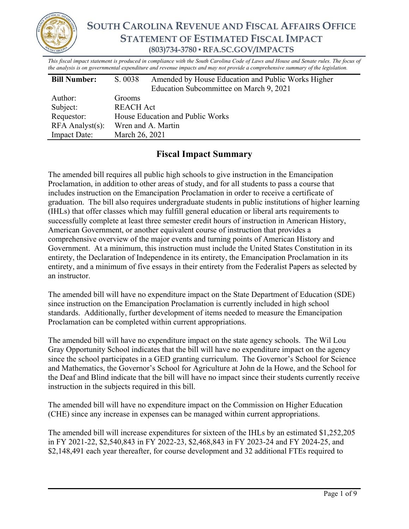

*This fiscal impact statement is produced in compliance with the South Carolina Code of Laws and House and Senate rules. The focus of the analysis is on governmental expenditure and revenue impacts and may not provide a comprehensive summary of the legislation.*

| <b>Bill Number:</b>   | S. 0038                          | Amended by House Education and Public Works Higher |
|-----------------------|----------------------------------|----------------------------------------------------|
|                       |                                  | Education Subcommittee on March 9, 2021            |
| Author:               | <b>Grooms</b>                    |                                                    |
| Subject:              | <b>REACH Act</b>                 |                                                    |
| Requestor:            | House Education and Public Works |                                                    |
| $RFA$ Analyst $(s)$ : | Wren and A. Martin               |                                                    |
| <b>Impact Date:</b>   | March 26, 2021                   |                                                    |

# **Fiscal Impact Summary**

The amended bill requires all public high schools to give instruction in the Emancipation Proclamation, in addition to other areas of study, and for all students to pass a course that includes instruction on the Emancipation Proclamation in order to receive a certificate of graduation. The bill also requires undergraduate students in public institutions of higher learning (IHLs) that offer classes which may fulfill general education or liberal arts requirements to successfully complete at least three semester credit hours of instruction in American History, American Government, or another equivalent course of instruction that provides a comprehensive overview of the major events and turning points of American History and Government. At a minimum, this instruction must include the United States Constitution in its entirety, the Declaration of Independence in its entirety, the Emancipation Proclamation in its entirety, and a minimum of five essays in their entirety from the Federalist Papers as selected by an instructor.

The amended bill will have no expenditure impact on the State Department of Education (SDE) since instruction on the Emancipation Proclamation is currently included in high school standards. Additionally, further development of items needed to measure the Emancipation Proclamation can be completed within current appropriations.

The amended bill will have no expenditure impact on the state agency schools. The Wil Lou Gray Opportunity School indicates that the bill will have no expenditure impact on the agency since the school participates in a GED granting curriculum. The Governor's School for Science and Mathematics, the Governor's School for Agriculture at John de la Howe, and the School for the Deaf and Blind indicate that the bill will have no impact since their students currently receive instruction in the subjects required in this bill.

The amended bill will have no expenditure impact on the Commission on Higher Education (CHE) since any increase in expenses can be managed within current appropriations.

The amended bill will increase expenditures for sixteen of the IHLs by an estimated \$1,252,205 in FY 2021-22, \$2,540,843 in FY 2022-23, \$2,468,843 in FY 2023-24 and FY 2024-25, and \$2,148,491 each year thereafter, for course development and 32 additional FTEs required to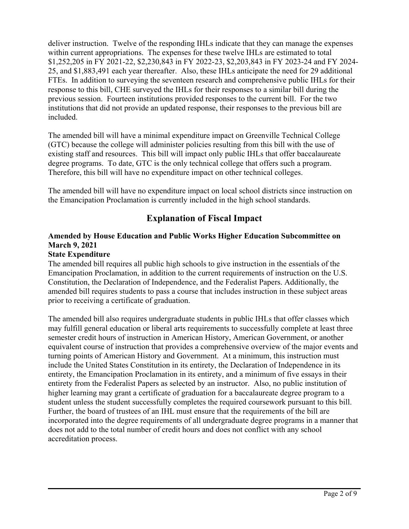deliver instruction. Twelve of the responding IHLs indicate that they can manage the expenses within current appropriations. The expenses for these twelve IHLs are estimated to total \$1,252,205 in FY 2021-22, \$2,230,843 in FY 2022-23, \$2,203,843 in FY 2023-24 and FY 2024- 25, and \$1,883,491 each year thereafter. Also, these IHLs anticipate the need for 29 additional FTEs. In addition to surveying the seventeen research and comprehensive public IHLs for their response to this bill, CHE surveyed the IHLs for their responses to a similar bill during the previous session. Fourteen institutions provided responses to the current bill. For the two institutions that did not provide an updated response, their responses to the previous bill are included.

The amended bill will have a minimal expenditure impact on Greenville Technical College (GTC) because the college will administer policies resulting from this bill with the use of existing staff and resources. This bill will impact only public IHLs that offer baccalaureate degree programs. To date, GTC is the only technical college that offers such a program. Therefore, this bill will have no expenditure impact on other technical colleges.

The amended bill will have no expenditure impact on local school districts since instruction on the Emancipation Proclamation is currently included in the high school standards.

# **Explanation of Fiscal Impact**

### **Amended by House Education and Public Works Higher Education Subcommittee on March 9, 2021**

#### **State Expenditure**

The amended bill requires all public high schools to give instruction in the essentials of the Emancipation Proclamation, in addition to the current requirements of instruction on the U.S. Constitution, the Declaration of Independence, and the Federalist Papers. Additionally, the amended bill requires students to pass a course that includes instruction in these subject areas prior to receiving a certificate of graduation.

The amended bill also requires undergraduate students in public IHLs that offer classes which may fulfill general education or liberal arts requirements to successfully complete at least three semester credit hours of instruction in American History, American Government, or another equivalent course of instruction that provides a comprehensive overview of the major events and turning points of American History and Government. At a minimum, this instruction must include the United States Constitution in its entirety, the Declaration of Independence in its entirety, the Emancipation Proclamation in its entirety, and a minimum of five essays in their entirety from the Federalist Papers as selected by an instructor. Also, no public institution of higher learning may grant a certificate of graduation for a baccalaureate degree program to a student unless the student successfully completes the required coursework pursuant to this bill. Further, the board of trustees of an IHL must ensure that the requirements of the bill are incorporated into the degree requirements of all undergraduate degree programs in a manner that does not add to the total number of credit hours and does not conflict with any school accreditation process.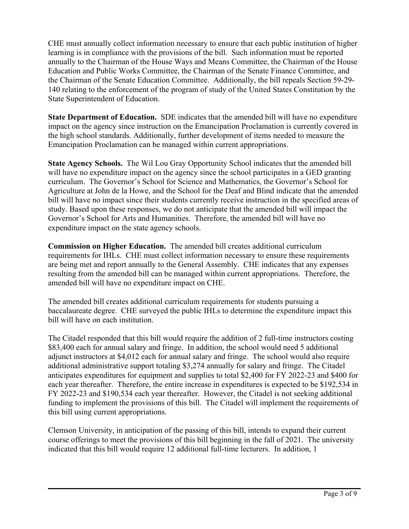CHE must annually collect information necessary to ensure that each public institution of higher learning is in compliance with the provisions of the bill. Such information must be reported annually to the Chairman of the House Ways and Means Committee, the Chairman of the House Education and Public Works Committee, the Chairman of the Senate Finance Committee, and the Chairman of the Senate Education Committee. Additionally, the bill repeals Section 59-29- 140 relating to the enforcement of the program of study of the United States Constitution by the State Superintendent of Education.

**State Department of Education.** SDE indicates that the amended bill will have no expenditure impact on the agency since instruction on the Emancipation Proclamation is currently covered in the high school standards. Additionally, further development of items needed to measure the Emancipation Proclamation can be managed within current appropriations.

**State Agency Schools.** The Wil Lou Gray Opportunity School indicates that the amended bill will have no expenditure impact on the agency since the school participates in a GED granting curriculum. The Governor's School for Science and Mathematics, the Governor's School for Agriculture at John de la Howe, and the School for the Deaf and Blind indicate that the amended bill will have no impact since their students currently receive instruction in the specified areas of study. Based upon these responses, we do not anticipate that the amended bill will impact the Governor's School for Arts and Humanities. Therefore, the amended bill will have no expenditure impact on the state agency schools.

**Commission on Higher Education.** The amended bill creates additional curriculum requirements for IHLs. CHE must collect information necessary to ensure these requirements are being met and report annually to the General Assembly. CHE indicates that any expenses resulting from the amended bill can be managed within current appropriations. Therefore, the amended bill will have no expenditure impact on CHE.

The amended bill creates additional curriculum requirements for students pursuing a baccalaureate degree. CHE surveyed the public IHLs to determine the expenditure impact this bill will have on each institution.

The Citadel responded that this bill would require the addition of 2 full-time instructors costing \$83,400 each for annual salary and fringe. In addition, the school would need 5 additional adjunct instructors at \$4,012 each for annual salary and fringe. The school would also require additional administrative support totaling \$3,274 annually for salary and fringe. The Citadel anticipates expenditures for equipment and supplies to total \$2,400 for FY 2022-23 and \$400 for each year thereafter. Therefore, the entire increase in expenditures is expected to be \$192,534 in FY 2022-23 and \$190,534 each year thereafter. However, the Citadel is not seeking additional funding to implement the provisions of this bill. The Citadel will implement the requirements of this bill using current appropriations.

Clemson University, in anticipation of the passing of this bill, intends to expand their current course offerings to meet the provisions of this bill beginning in the fall of 2021. The university indicated that this bill would require 12 additional full-time lecturers. In addition, 1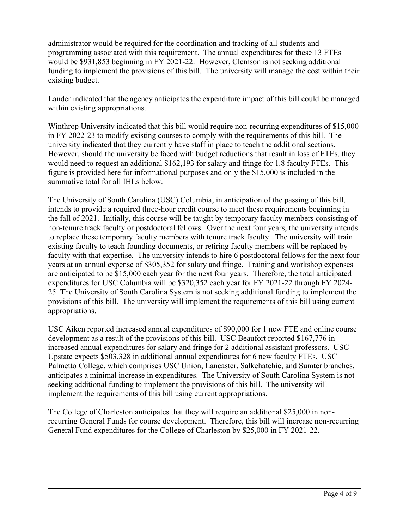administrator would be required for the coordination and tracking of all students and programming associated with this requirement. The annual expenditures for these 13 FTEs would be \$931,853 beginning in FY 2021-22. However, Clemson is not seeking additional funding to implement the provisions of this bill. The university will manage the cost within their existing budget.

Lander indicated that the agency anticipates the expenditure impact of this bill could be managed within existing appropriations.

Winthrop University indicated that this bill would require non-recurring expenditures of \$15,000 in FY 2022-23 to modify existing courses to comply with the requirements of this bill. The university indicated that they currently have staff in place to teach the additional sections. However, should the university be faced with budget reductions that result in loss of FTEs, they would need to request an additional \$162,193 for salary and fringe for 1.8 faculty FTEs. This figure is provided here for informational purposes and only the \$15,000 is included in the summative total for all IHLs below.

The University of South Carolina (USC) Columbia, in anticipation of the passing of this bill, intends to provide a required three-hour credit course to meet these requirements beginning in the fall of 2021. Initially, this course will be taught by temporary faculty members consisting of non-tenure track faculty or postdoctoral fellows. Over the next four years, the university intends to replace these temporary faculty members with tenure track faculty. The university will train existing faculty to teach founding documents, or retiring faculty members will be replaced by faculty with that expertise. The university intends to hire 6 postdoctoral fellows for the next four years at an annual expense of \$305,352 for salary and fringe. Training and workshop expenses are anticipated to be \$15,000 each year for the next four years. Therefore, the total anticipated expenditures for USC Columbia will be \$320,352 each year for FY 2021-22 through FY 2024- 25. The University of South Carolina System is not seeking additional funding to implement the provisions of this bill. The university will implement the requirements of this bill using current appropriations.

USC Aiken reported increased annual expenditures of \$90,000 for 1 new FTE and online course development as a result of the provisions of this bill. USC Beaufort reported \$167,776 in increased annual expenditures for salary and fringe for 2 additional assistant professors. USC Upstate expects \$503,328 in additional annual expenditures for 6 new faculty FTEs. USC Palmetto College, which comprises USC Union, Lancaster, Salkehatchie, and Sumter branches, anticipates a minimal increase in expenditures. The University of South Carolina System is not seeking additional funding to implement the provisions of this bill. The university will implement the requirements of this bill using current appropriations.

The College of Charleston anticipates that they will require an additional \$25,000 in nonrecurring General Funds for course development. Therefore, this bill will increase non-recurring General Fund expenditures for the College of Charleston by \$25,000 in FY 2021-22.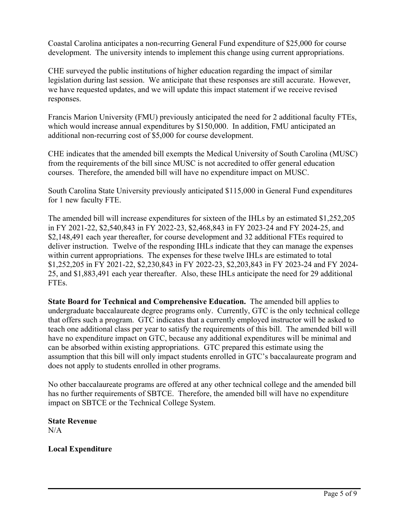Coastal Carolina anticipates a non-recurring General Fund expenditure of \$25,000 for course development. The university intends to implement this change using current appropriations.

CHE surveyed the public institutions of higher education regarding the impact of similar legislation during last session. We anticipate that these responses are still accurate. However, we have requested updates, and we will update this impact statement if we receive revised responses.

Francis Marion University (FMU) previously anticipated the need for 2 additional faculty FTEs, which would increase annual expenditures by \$150,000. In addition, FMU anticipated an additional non-recurring cost of \$5,000 for course development.

CHE indicates that the amended bill exempts the Medical University of South Carolina (MUSC) from the requirements of the bill since MUSC is not accredited to offer general education courses. Therefore, the amended bill will have no expenditure impact on MUSC.

South Carolina State University previously anticipated \$115,000 in General Fund expenditures for 1 new faculty FTE.

The amended bill will increase expenditures for sixteen of the IHLs by an estimated \$1,252,205 in FY 2021-22, \$2,540,843 in FY 2022-23, \$2,468,843 in FY 2023-24 and FY 2024-25, and \$2,148,491 each year thereafter, for course development and 32 additional FTEs required to deliver instruction. Twelve of the responding IHLs indicate that they can manage the expenses within current appropriations. The expenses for these twelve IHLs are estimated to total \$1,252,205 in FY 2021-22, \$2,230,843 in FY 2022-23, \$2,203,843 in FY 2023-24 and FY 2024- 25, and \$1,883,491 each year thereafter. Also, these IHLs anticipate the need for 29 additional FTEs.

**State Board for Technical and Comprehensive Education.** The amended bill applies to undergraduate baccalaureate degree programs only. Currently, GTC is the only technical college that offers such a program. GTC indicates that a currently employed instructor will be asked to teach one additional class per year to satisfy the requirements of this bill. The amended bill will have no expenditure impact on GTC, because any additional expenditures will be minimal and can be absorbed within existing appropriations. GTC prepared this estimate using the assumption that this bill will only impact students enrolled in GTC's baccalaureate program and does not apply to students enrolled in other programs.

No other baccalaureate programs are offered at any other technical college and the amended bill has no further requirements of SBTCE. Therefore, the amended bill will have no expenditure impact on SBTCE or the Technical College System.

# **State Revenue**

 $N/A$ 

#### **Local Expenditure**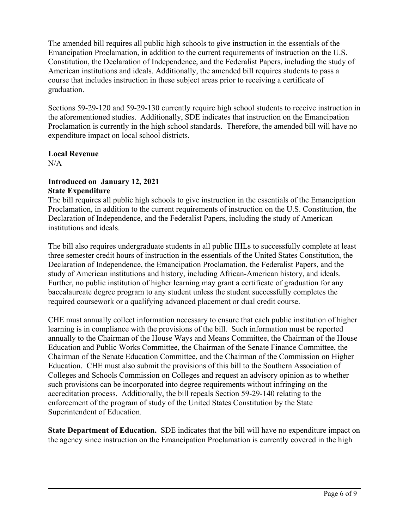The amended bill requires all public high schools to give instruction in the essentials of the Emancipation Proclamation, in addition to the current requirements of instruction on the U.S. Constitution, the Declaration of Independence, and the Federalist Papers, including the study of American institutions and ideals. Additionally, the amended bill requires students to pass a course that includes instruction in these subject areas prior to receiving a certificate of graduation.

Sections 59-29-120 and 59-29-130 currently require high school students to receive instruction in the aforementioned studies. Additionally, SDE indicates that instruction on the Emancipation Proclamation is currently in the high school standards. Therefore, the amended bill will have no expenditure impact on local school districts.

**Local Revenue**   $N/A$ 

## **Introduced on January 12, 2021 State Expenditure**

The bill requires all public high schools to give instruction in the essentials of the Emancipation Proclamation, in addition to the current requirements of instruction on the U.S. Constitution, the Declaration of Independence, and the Federalist Papers, including the study of American institutions and ideals.

The bill also requires undergraduate students in all public IHLs to successfully complete at least three semester credit hours of instruction in the essentials of the United States Constitution, the Declaration of Independence, the Emancipation Proclamation, the Federalist Papers, and the study of American institutions and history, including African-American history, and ideals. Further, no public institution of higher learning may grant a certificate of graduation for any baccalaureate degree program to any student unless the student successfully completes the required coursework or a qualifying advanced placement or dual credit course.

CHE must annually collect information necessary to ensure that each public institution of higher learning is in compliance with the provisions of the bill. Such information must be reported annually to the Chairman of the House Ways and Means Committee, the Chairman of the House Education and Public Works Committee, the Chairman of the Senate Finance Committee, the Chairman of the Senate Education Committee, and the Chairman of the Commission on Higher Education. CHE must also submit the provisions of this bill to the Southern Association of Colleges and Schools Commission on Colleges and request an advisory opinion as to whether such provisions can be incorporated into degree requirements without infringing on the accreditation process. Additionally, the bill repeals Section 59-29-140 relating to the enforcement of the program of study of the United States Constitution by the State Superintendent of Education.

**State Department of Education.** SDE indicates that the bill will have no expenditure impact on the agency since instruction on the Emancipation Proclamation is currently covered in the high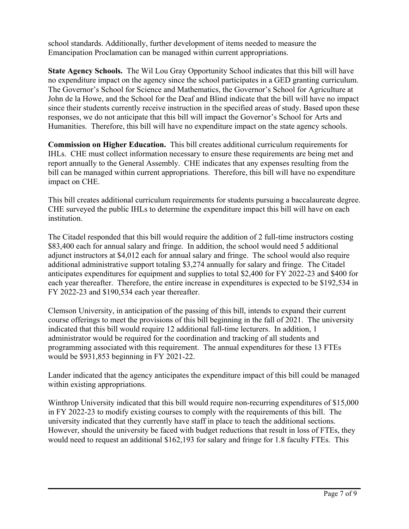school standards. Additionally, further development of items needed to measure the Emancipation Proclamation can be managed within current appropriations.

**State Agency Schools.** The Wil Lou Gray Opportunity School indicates that this bill will have no expenditure impact on the agency since the school participates in a GED granting curriculum. The Governor's School for Science and Mathematics, the Governor's School for Agriculture at John de la Howe, and the School for the Deaf and Blind indicate that the bill will have no impact since their students currently receive instruction in the specified areas of study. Based upon these responses, we do not anticipate that this bill will impact the Governor's School for Arts and Humanities. Therefore, this bill will have no expenditure impact on the state agency schools.

**Commission on Higher Education.** This bill creates additional curriculum requirements for IHLs. CHE must collect information necessary to ensure these requirements are being met and report annually to the General Assembly. CHE indicates that any expenses resulting from the bill can be managed within current appropriations. Therefore, this bill will have no expenditure impact on CHE.

This bill creates additional curriculum requirements for students pursuing a baccalaureate degree. CHE surveyed the public IHLs to determine the expenditure impact this bill will have on each institution.

The Citadel responded that this bill would require the addition of 2 full-time instructors costing \$83,400 each for annual salary and fringe. In addition, the school would need 5 additional adjunct instructors at \$4,012 each for annual salary and fringe. The school would also require additional administrative support totaling \$3,274 annually for salary and fringe. The Citadel anticipates expenditures for equipment and supplies to total \$2,400 for FY 2022-23 and \$400 for each year thereafter. Therefore, the entire increase in expenditures is expected to be \$192,534 in FY 2022-23 and \$190,534 each year thereafter.

Clemson University, in anticipation of the passing of this bill, intends to expand their current course offerings to meet the provisions of this bill beginning in the fall of 2021. The university indicated that this bill would require 12 additional full-time lecturers. In addition, 1 administrator would be required for the coordination and tracking of all students and programming associated with this requirement. The annual expenditures for these 13 FTEs would be \$931,853 beginning in FY 2021-22.

Lander indicated that the agency anticipates the expenditure impact of this bill could be managed within existing appropriations.

Winthrop University indicated that this bill would require non-recurring expenditures of \$15,000 in FY 2022-23 to modify existing courses to comply with the requirements of this bill. The university indicated that they currently have staff in place to teach the additional sections. However, should the university be faced with budget reductions that result in loss of FTEs, they would need to request an additional \$162,193 for salary and fringe for 1.8 faculty FTEs. This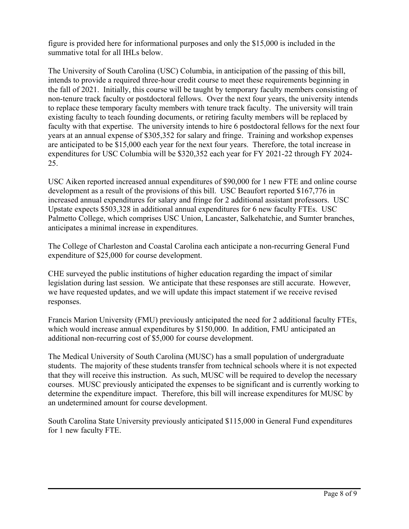figure is provided here for informational purposes and only the \$15,000 is included in the summative total for all IHLs below.

The University of South Carolina (USC) Columbia, in anticipation of the passing of this bill, intends to provide a required three-hour credit course to meet these requirements beginning in the fall of 2021. Initially, this course will be taught by temporary faculty members consisting of non-tenure track faculty or postdoctoral fellows. Over the next four years, the university intends to replace these temporary faculty members with tenure track faculty. The university will train existing faculty to teach founding documents, or retiring faculty members will be replaced by faculty with that expertise. The university intends to hire 6 postdoctoral fellows for the next four years at an annual expense of \$305,352 for salary and fringe. Training and workshop expenses are anticipated to be \$15,000 each year for the next four years. Therefore, the total increase in expenditures for USC Columbia will be \$320,352 each year for FY 2021-22 through FY 2024- 25.

USC Aiken reported increased annual expenditures of \$90,000 for 1 new FTE and online course development as a result of the provisions of this bill. USC Beaufort reported \$167,776 in increased annual expenditures for salary and fringe for 2 additional assistant professors. USC Upstate expects \$503,328 in additional annual expenditures for 6 new faculty FTEs. USC Palmetto College, which comprises USC Union, Lancaster, Salkehatchie, and Sumter branches, anticipates a minimal increase in expenditures.

The College of Charleston and Coastal Carolina each anticipate a non-recurring General Fund expenditure of \$25,000 for course development.

CHE surveyed the public institutions of higher education regarding the impact of similar legislation during last session. We anticipate that these responses are still accurate. However, we have requested updates, and we will update this impact statement if we receive revised responses.

Francis Marion University (FMU) previously anticipated the need for 2 additional faculty FTEs, which would increase annual expenditures by \$150,000. In addition, FMU anticipated an additional non-recurring cost of \$5,000 for course development.

The Medical University of South Carolina (MUSC) has a small population of undergraduate students. The majority of these students transfer from technical schools where it is not expected that they will receive this instruction. As such, MUSC will be required to develop the necessary courses. MUSC previously anticipated the expenses to be significant and is currently working to determine the expenditure impact. Therefore, this bill will increase expenditures for MUSC by an undetermined amount for course development.

South Carolina State University previously anticipated \$115,000 in General Fund expenditures for 1 new faculty FTE.